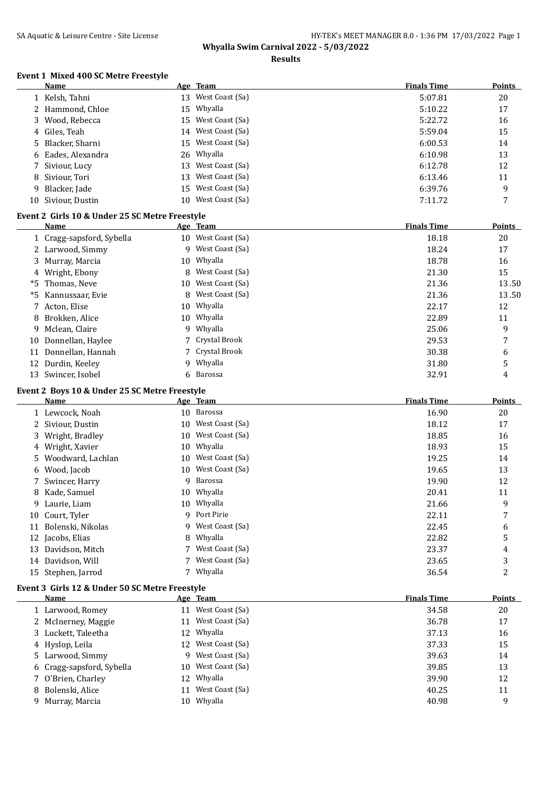## SA Aquatic & Leisure Centre - Site License **HY-TEK's MEET MANAGER 8.0 - 1:36 PM** 17/03/2022 Page 1 **Whyalla Swim Carnival 2022 - 5/03/2022**

#### **Results**

#### **Event 1 Mixed 400 SC Metre Freestyle**

|              | <b>Name</b>                                    |    | Age Team           | <b>Finals Time</b> | <b>Points</b> |
|--------------|------------------------------------------------|----|--------------------|--------------------|---------------|
|              | 1 Kelsh, Tahni                                 | 13 | West Coast (Sa)    | 5:07.81            | 20            |
|              | 2 Hammond, Chloe                               | 15 | Whyalla            | 5:10.22            | 17            |
| 3            | Wood, Rebecca                                  | 15 | West Coast (Sa)    | 5:22.72            | 16            |
| 4            | Giles, Teah                                    | 14 | West Coast (Sa)    | 5:59.04            | 15            |
| 5.           | Blacker, Sharni                                | 15 | West Coast (Sa)    | 6:00.53            | 14            |
| 6            | Eades, Alexandra                               | 26 | Whyalla            | 6:10.98            | 13            |
|              | Siviour, Lucy                                  | 13 | West Coast (Sa)    | 6:12.78            | 12            |
| 8            | Siviour, Tori                                  | 13 | West Coast (Sa)    | 6:13.46            | 11            |
| 9            | Blacker, Jade                                  | 15 | West Coast (Sa)    | 6:39.76            | 9             |
| 10           | Siviour, Dustin                                | 10 | West Coast (Sa)    | 7:11.72            | 7             |
|              | Event 2 Girls 10 & Under 25 SC Metre Freestyle |    |                    |                    |               |
|              | Name                                           |    | Age Team           | <b>Finals Time</b> | <b>Points</b> |
| $\mathbf{1}$ | Cragg-sapsford, Sybella                        |    | 10 West Coast (Sa) | 18.18              | 20            |
|              | 2 Larwood, Simmy                               | 9  | West Coast (Sa)    | 18.24              | 17            |
|              | 3 Murray, Marcia                               | 10 | Whyalla            | 18.78              | 16            |
|              | Wright, Ebony                                  | 8  | West Coast (Sa)    | 21.30              | 15            |
| *5           | Thomas, Neve                                   | 10 | West Coast (Sa)    | 21.36              | 13.50         |
| *5           | Kannussaar, Evie                               | 8  | West Coast (Sa)    | 21.36              | 13.50         |
| 7            | Acton, Elise                                   | 10 | Whyalla            | 22.17              | 12            |
| 8            | Brokken, Alice                                 | 10 | Whyalla            | 22.89              | 11            |
| 9            | Mclean, Claire                                 | 9  | Whyalla            | 25.06              | 9             |
| 10           | Donnellan, Haylee                              |    | Crystal Brook      | 29.53              | 7             |
|              | 11 Donnellan, Hannah                           | 7  | Crystal Brook      | 30.38              | 6             |

## **Event 2 Boys 10 & Under 25 SC Metre Freestyle**

|    | <b>Name</b>         |    | Age Team           | <b>Finals Time</b> | <b>Points</b> |
|----|---------------------|----|--------------------|--------------------|---------------|
|    | 1 Lewcock, Noah     |    | 10 Barossa         | 16.90              | 20            |
|    | 2 Siviour, Dustin   |    | 10 West Coast (Sa) | 18.12              | 17            |
|    | 3 Wright, Bradley   | 10 | West Coast (Sa)    | 18.85              | 16            |
|    | 4 Wright, Xavier    | 10 | Whyalla            | 18.93              | 15            |
|    | 5 Woodward, Lachlan | 10 | West Coast (Sa)    | 19.25              | 14            |
|    | 6 Wood, Jacob       |    | 10 West Coast (Sa) | 19.65              | 13            |
|    | 7 Swincer, Harry    | 9  | Barossa            | 19.90              | 12            |
|    | 8 Kade, Samuel      |    | 10 Whyalla         | 20.41              | 11            |
| 9. | Laurie, Liam        |    | 10 Whyalla         | 21.66              | 9             |
| 10 | Court, Tyler        | 9  | Port Pirie         | 22.11              | 7             |
| 11 | Bolenski, Nikolas   |    | 9 West Coast (Sa)  | 22.45              | 6             |
| 12 | Jacobs, Elias       | 8  | Whyalla            | 22.82              | 5             |
| 13 | Davidson, Mitch     |    | West Coast (Sa)    | 23.37              | 4             |
| 14 | Davidson, Will      |    | West Coast (Sa)    | 23.65              | 3             |
| 15 | Stephen, Jarrod     |    | Whyalla            | 36.54              | 2             |
|    |                     |    |                    |                    |               |

12 Durdin, Keeley 9 Whyalla 5 9 Whyalla 5 31.80 5 13 Swincer, Isobel 6 Barossa 6 6 Barossa 6 13 2.91 4

# **Event 3 Girls 12 & Under 50 SC Metre Freestyle Name Age Team** *Age Team Points Finals Time**Points*

| 1 Larwood, Romey          | 11 | West Coast (Sa)    | 34.58 | 20 |
|---------------------------|----|--------------------|-------|----|
| 2 McInerney, Maggie       |    | 11 West Coast (Sa) | 36.78 | 17 |
| 3 Luckett, Taleetha       |    | 12 Whyalla         | 37.13 | 16 |
| 4 Hyslop, Leila           |    | 12 West Coast (Sa) | 37.33 | 15 |
| 5 Larwood, Simmy          |    | 9 West Coast (Sa)  | 39.63 | 14 |
| 6 Cragg-sapsford, Sybella |    | 10 West Coast (Sa) | 39.85 | 13 |
| 7 O'Brien, Charley        |    | 12 Whyalla         | 39.90 | 12 |
| 8 Bolenski, Alice         |    | 11 West Coast (Sa) | 40.25 | 11 |
| 9 Murray, Marcia          |    | 10 Whyalla         | 40.98 | 9  |
|                           |    |                    |       |    |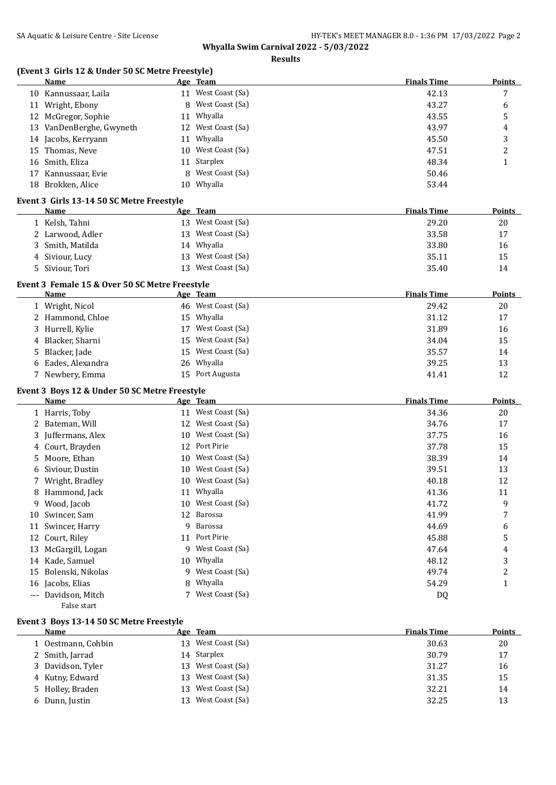**Results**

# **(Event 3 Girls 12 & Under 50 SC Metre Freestyle)**

| 113 12 & Under 50 Sc Metre Freestyle)<br><b>Name</b> | <u>Age Team</u>       | <b>Finals Time</b> | <b>Points</b>  |
|------------------------------------------------------|-----------------------|--------------------|----------------|
| 10 Kannussaar, Laila                                 | 11 West Coast (Sa)    | 42.13              | 7              |
| 11 Wright, Ebony                                     | 8 West Coast (Sa)     | 43.27              | 6              |
| 12 McGregor, Sophie                                  | 11 Whyalla            | 43.55              | 5              |
| 13 VanDenBerghe, Gwyneth                             | 12 West Coast (Sa)    | 43.97              | 4              |
| 14 Jacobs, Kerryann                                  | 11 Whyalla            | 45.50              | 3              |
| Thomas, Neve<br>15                                   | 10 West Coast (Sa)    | 47.51              | $\overline{c}$ |
| 16 Smith, Eliza                                      | 11 Starplex           | 48.34              | $\mathbf{1}$   |
| 17 Kannussaar, Evie                                  | West Coast (Sa)<br>8  | 50.46              |                |
| 18 Brokken, Alice                                    | 10 Whyalla            | 53.44              |                |
| Event 3 Girls 13-14 50 SC Metre Freestyle            |                       |                    |                |
| Name                                                 | Age Team              | <b>Finals Time</b> | <b>Points</b>  |
| 1 Kelsh, Tahni                                       | 13 West Coast (Sa)    | 29.20              | 20             |
| 2 Larwood, Adler                                     | West Coast (Sa)<br>13 | 33.58              | 17             |
| 3 Smith, Matilda                                     | 14 Whyalla            | 33.80              | 16             |
| 4 Siviour, Lucy                                      | West Coast (Sa)<br>13 | 35.11              | 15             |
| 5 Siviour, Tori                                      | 13 West Coast (Sa)    | 35.40              | 14             |
| Event 3 Female 15 & Over 50 SC Metre Freestyle       |                       |                    |                |
| <b>Name</b>                                          | Age Team              | <b>Finals Time</b> | <b>Points</b>  |
| 1 Wright, Nicol                                      | 46 West Coast (Sa)    | 29.42              | 20             |
| 2 Hammond, Chloe                                     | 15 Whyalla            | 31.12              | 17             |
| 3 Hurrell, Kylie                                     | 17 West Coast (Sa)    | 31.89              | 16             |
| Blacker, Sharni<br>4                                 | West Coast (Sa)<br>15 | 34.04              | 15             |
| Blacker, Jade<br>5.                                  | 15 West Coast (Sa)    | 35.57              | 14             |
| 6 Eades, Alexandra                                   | 26 Whyalla            | 39.25              | 13             |
| 7 Newbery, Emma                                      | 15 Port Augusta       | 41.41              | 12             |
| Event 3 Boys 12 & Under 50 SC Metre Freestyle        |                       |                    |                |
| Name                                                 | Age Team              | <b>Finals Time</b> | <b>Points</b>  |
| 1 Harris, Toby                                       | 11 West Coast (Sa)    | 34.36              | 20             |
| 2 Bateman, Will                                      | 12 West Coast (Sa)    | 34.76              | 17             |
| Juffermans, Alex<br>3.                               | West Coast (Sa)<br>10 | 37.75              | 16             |
| Court, Brayden<br>4                                  | Port Pirie<br>12      | 37.78              | 15             |
| Moore, Ethan<br>5                                    | 10 West Coast (Sa)    | 38.39              | 14             |
| 6 Siviour, Dustin                                    | 10 West Coast (Sa)    | 39.51              | 13             |
| 7 Wright, Bradley                                    | 10 West Coast (Sa)    | 40.18              | 12             |
| 8 Hammond, Jack                                      | 11 Whyalla            | 41.36              | 11             |
| 9 Wood, Jacob                                        | 10 West Coast (Sa)    | 41.72              | 9              |
| 10 Swincer, Sam                                      | Barossa<br>12         | 41.99              | 7              |
| 11 Swincer, Harry                                    | Barossa<br>9          | 44.69              | 6              |
| 12 Court, Riley                                      | 11 Port Pirie         | 45.88              | 5              |
| McGargill, Logan<br>13                               | 9 West Coast (Sa)     | 47.64              | 4              |
| 14 Kade, Samuel                                      | Whyalla<br>10         | 48.12              | 3              |
| 15 Bolenski, Nikolas                                 | 9 West Coast (Sa)     | 49.74              | 2              |
| 16 Jacobs, Elias                                     | 8 Whyalla             | 54.29              | $\mathbf{1}$   |

## **Event 3 Boys 13-14 50 SC Metre Freestyle**

False start

| <b>Name</b>        |     | Age Team           | <b>Finals Time</b> | <b>Points</b> |
|--------------------|-----|--------------------|--------------------|---------------|
| 1 Oestmann, Cohbin |     | 13 West Coast (Sa) | 30.63              | 20            |
| 2 Smith, Jarrad    |     | 14 Starplex        | 30.79              | 17            |
| 3 Davidson, Tyler  |     | 13 West Coast (Sa) | 31.27              | 16            |
| 4 Kutny, Edward    |     | 13 West Coast (Sa) | 31.35              | 15            |
| 5 Holley, Braden   | 13. | West Coast (Sa)    | 32.21              | 14            |
| 6 Dunn, Justin     | 13  | West Coast (Sa)    | 32.25              | 13            |

--- Davidson, Mitch 7 West Coast (Sa) 2021 --- Davidson, Mitch 2022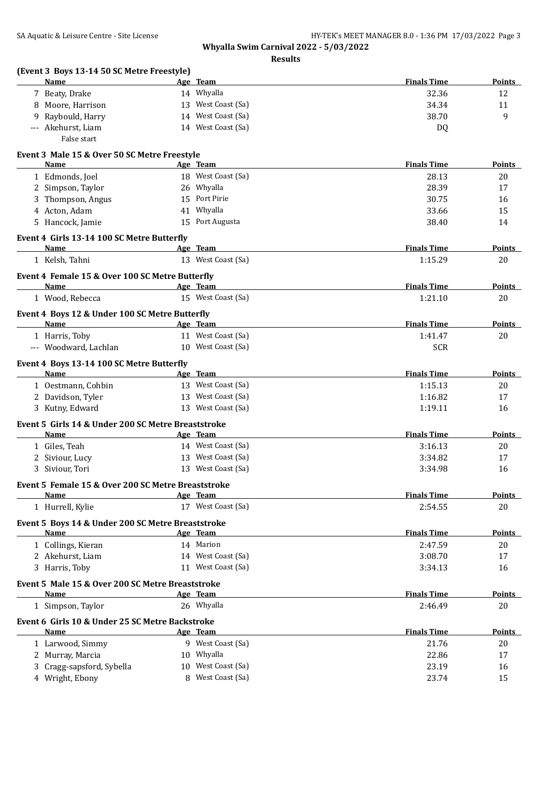| (Event 3 Boys 13-14 50 SC Metre Freestyle)<br><b>Name</b>      |    | Age Team           | <b>Finals Time</b> | <b>Points</b> |
|----------------------------------------------------------------|----|--------------------|--------------------|---------------|
| 7 Beaty, Drake                                                 |    | 14 Whyalla         | 32.36              | 12            |
| 8 Moore, Harrison                                              |    | 13 West Coast (Sa) | 34.34              | 11            |
| Raybould, Harry<br>9.                                          |    | 14 West Coast (Sa) | 38.70              | 9             |
| --- Akehurst, Liam<br>False start                              |    | 14 West Coast (Sa) | DQ                 |               |
| Event 3 Male 15 & Over 50 SC Metre Freestyle                   |    |                    |                    |               |
| Name                                                           |    | Age Team           | <b>Finals Time</b> | Points        |
| 1 Edmonds, Joel                                                |    | 18 West Coast (Sa) | 28.13              | 20            |
| 2 Simpson, Taylor                                              |    | 26 Whyalla         | 28.39              | 17            |
| 3 Thompson, Angus                                              |    | 15 Port Pirie      | 30.75              | 16            |
| 4 Acton, Adam                                                  |    | 41 Whyalla         | 33.66              | 15            |
| 5 Hancock, Jamie                                               |    | 15 Port Augusta    | 38.40              | 14            |
| Event 4 Girls 13-14 100 SC Metre Butterfly<br>Name             |    | Age Team           | <b>Finals Time</b> | Points        |
| 1 Kelsh, Tahni                                                 |    | 13 West Coast (Sa) | 1:15.29            | 20            |
|                                                                |    |                    |                    |               |
| Event 4 Female 15 & Over 100 SC Metre Butterfly<br>Name        |    | Age Team           | <b>Finals Time</b> | <b>Points</b> |
| 1 Wood, Rebecca                                                |    | 15 West Coast (Sa) | 1:21.10            | 20            |
|                                                                |    |                    |                    |               |
| Event 4 Boys 12 & Under 100 SC Metre Butterfly<br>Name         |    | Age Team           | <b>Finals Time</b> | Points        |
| 1 Harris, Toby                                                 |    | 11 West Coast (Sa) | 1:41.47            | 20            |
| --- Woodward, Lachlan                                          |    | 10 West Coast (Sa) | <b>SCR</b>         |               |
| Event 4 Boys 13-14 100 SC Metre Butterfly                      |    |                    |                    |               |
| Name                                                           |    | Age Team           | <b>Finals Time</b> | Points        |
| 1 Oestmann, Cohbin                                             |    | 13 West Coast (Sa) | 1:15.13            | 20            |
| 2 Davidson, Tyler                                              |    | 13 West Coast (Sa) | 1:16.82            | 17            |
| 3 Kutny, Edward                                                |    | 13 West Coast (Sa) | 1:19.11            | 16            |
| Event 5 Girls 14 & Under 200 SC Metre Breaststroke             |    |                    |                    |               |
| Name                                                           |    | Age Team           | <b>Finals Time</b> | Points        |
| 1 Giles, Teah                                                  |    | 14 West Coast (Sa) | 3:16.13            | 20            |
| 2 Siviour, Lucy                                                |    | 13 West Coast (Sa) | 3:34.82            | 17            |
| 3 Siviour, Tori                                                |    | 13 West Coast (Sa) | 3:34.98            | 16            |
| Event 5 Female 15 & Over 200 SC Metre Breaststroke             |    |                    |                    |               |
| Name                                                           |    | Age Team           | <b>Finals Time</b> | <b>Points</b> |
| 1 Hurrell, Kylie                                               |    | 17 West Coast (Sa) | 2:54.55            | 20            |
| Event 5 Boys 14 & Under 200 SC Metre Breaststroke<br>Name      |    | Age Team           | <b>Finals Time</b> | <b>Points</b> |
|                                                                |    | 14 Marion          | 2:47.59            |               |
| 1 Collings, Kieran<br>2 Akehurst, Liam                         |    | 14 West Coast (Sa) | 3:08.70            | 20<br>17      |
| 3 Harris, Toby                                                 |    | 11 West Coast (Sa) | 3:34.13            | 16            |
|                                                                |    |                    |                    |               |
| Event 5 Male 15 & Over 200 SC Metre Breaststroke<br>Name       |    | Age Team           | <b>Finals Time</b> | <b>Points</b> |
| 1 Simpson, Taylor                                              |    | 26 Whyalla         | 2:46.49            | 20            |
|                                                                |    |                    |                    |               |
| Event 6 Girls 10 & Under 25 SC Metre Backstroke<br><b>Name</b> |    | Age Team           | <b>Finals Time</b> | <b>Points</b> |
| 1 Larwood, Simmy                                               |    | 9 West Coast (Sa)  | 21.76              | 20            |
| 2 Murray, Marcia                                               |    | 10 Whyalla         | 22.86              | 17            |
| 3 Cragg-sapsford, Sybella                                      | 10 | West Coast (Sa)    | 23.19              | 16            |
| 4 Wright, Ebony                                                |    | 8 West Coast (Sa)  | 23.74              | 15            |
|                                                                |    |                    |                    |               |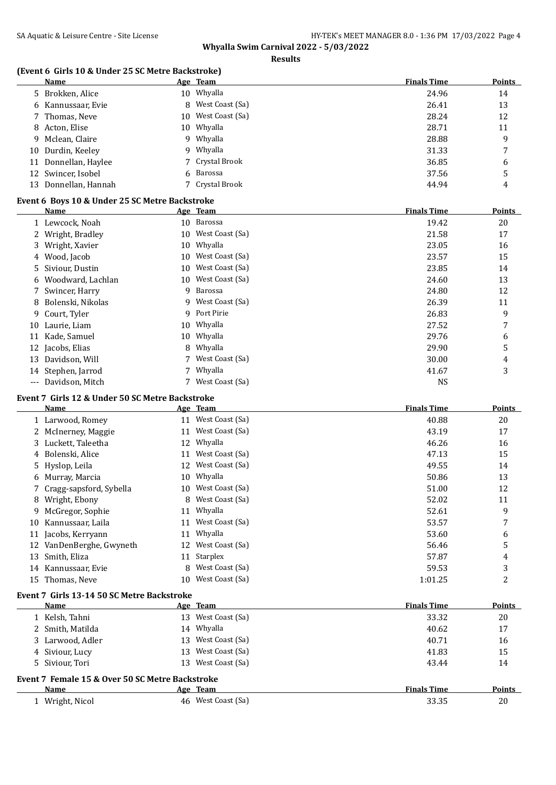**Results**

## **(Event 6 Girls 10 & Under 25 SC Metre Backstroke)**

| Name                 |     | Age Team          | <b>Finals Time</b> | <b>Points</b> |
|----------------------|-----|-------------------|--------------------|---------------|
| 5 Brokken, Alice     |     | 10 Whyalla        | 24.96              | 14            |
| 6 Kannussaar, Evie   |     | 8 West Coast (Sa) | 26.41              | 13            |
| 7 Thomas, Neve       | 10. | West Coast (Sa)   | 28.24              | 12            |
| 8 Acton, Elise       |     | 10 Whyalla        | 28.71              | 11            |
| 9 Mclean, Claire     |     | 9 Whyalla         | 28.88              | 9             |
| 10 Durdin, Keeley    |     | 9 Whyalla         | 31.33              | 7             |
| 11 Donnellan, Haylee |     | 7 Crystal Brook   | 36.85              | 6             |
| 12 Swincer, Isobel   |     | 6 Barossa         | 37.56              | 5             |
| 13 Donnellan, Hannah |     | 7 Crystal Brook   | 44.94              | 4             |
|                      |     |                   |                    |               |

## **Event 6 Boys 10 & Under 25 SC Metre Backstroke**

|       | Name                |    | Age Team           | <b>Finals Time</b> | <b>Points</b> |
|-------|---------------------|----|--------------------|--------------------|---------------|
|       | 1 Lewcock, Noah     |    | 10 Barossa         | 19.42              | 20            |
|       | 2 Wright, Bradley   |    | 10 West Coast (Sa) | 21.58              | 17            |
|       | 3 Wright, Xavier    | 10 | Whyalla            | 23.05              | 16            |
|       | 4 Wood, Jacob       | 10 | West Coast (Sa)    | 23.57              | 15            |
|       | 5 Siviour, Dustin   | 10 | West Coast (Sa)    | 23.85              | 14            |
|       | 6 Woodward, Lachlan | 10 | West Coast (Sa)    | 24.60              | 13            |
|       | 7 Swincer, Harry    | 9  | Barossa            | 24.80              | 12            |
|       | 8 Bolenski, Nikolas |    | 9 West Coast (Sa)  | 26.39              | 11            |
| 9     | Court, Tyler        | 9  | Port Pirie         | 26.83              | 9             |
|       | 10 Laurie, Liam     | 10 | Whyalla            | 27.52              | 7             |
| 11    | Kade, Samuel        | 10 | Whyalla            | 29.76              | 6             |
|       | 12 Jacobs, Elias    |    | 8 Whyalla          | 29.90              | 5             |
|       | 13 Davidson, Will   |    | 7 West Coast (Sa)  | 30.00              | 4             |
|       | 14 Stephen, Jarrod  |    | Whyalla            | 41.67              | 3             |
| $---$ | Davidson, Mitch     |    | 7 West Coast (Sa)  | <b>NS</b>          |               |

#### **Event 7 Girls 12 & Under 50 SC Metre Backstroke**

|    | Name                      |    | Age Team           | <b>Finals Time</b> | <b>Points</b> |
|----|---------------------------|----|--------------------|--------------------|---------------|
|    | 1 Larwood, Romey          | 11 | West Coast (Sa)    | 40.88              | 20            |
|    | 2 McInerney, Maggie       | 11 | West Coast (Sa)    | 43.19              | 17            |
|    | 3 Luckett, Taleetha       |    | 12 Whyalla         | 46.26              | 16            |
|    | 4 Bolenski, Alice         | 11 | West Coast (Sa)    | 47.13              | 15            |
|    | 5 Hyslop, Leila           | 12 | West Coast (Sa)    | 49.55              | 14            |
|    | 6 Murray, Marcia          |    | 10 Whyalla         | 50.86              | 13            |
|    | 7 Cragg-sapsford, Sybella |    | 10 West Coast (Sa) | 51.00              | 12            |
| 8  | Wright, Ebony             | 8  | West Coast (Sa)    | 52.02              | 11            |
|    | 9 McGregor, Sophie        | 11 | Whyalla            | 52.61              | 9             |
| 10 | Kannussaar, Laila         | 11 | West Coast (Sa)    | 53.57              | 7             |
| 11 | Jacobs, Kerryann          | 11 | Whyalla            | 53.60              | 6             |
| 12 | VanDenBerghe, Gwyneth     | 12 | West Coast (Sa)    | 56.46              | 5             |
| 13 | Smith, Eliza              | 11 | Starplex           | 57.87              | 4             |
| 14 | Kannussaar, Evie          | 8  | West Coast (Sa)    | 59.53              | 3             |
| 15 | Thomas, Neve              | 10 | West Coast (Sa)    | 1:01.25            | 2             |
|    |                           |    |                    |                    |               |

# **Event 7 Girls 13-14 50 SC Metre Backstroke**

| Name                                            | Age Team           | <b>Finals Time</b> | <b>Points</b> |
|-------------------------------------------------|--------------------|--------------------|---------------|
| 1 Kelsh, Tahni                                  | 13 West Coast (Sa) | 33.32              | 20            |
| 2 Smith, Matilda                                | 14 Whyalla         | 40.62              | 17            |
| 3 Larwood, Adler                                | 13 West Coast (Sa) | 40.71              | 16            |
| 4 Siviour, Lucy                                 | 13 West Coast (Sa) | 41.83              | 15            |
| 5 Siviour, Tori                                 | 13 West Coast (Sa) | 43.44              | 14            |
| Event 7 Female 15 & Over 50 SC Metre Backstroke |                    |                    |               |
| <b>Name</b>                                     | Age Team           | <b>Finals Time</b> | <b>Points</b> |
| 1 Wright, Nicol                                 | 46 West Coast (Sa) | 33.35              | 20            |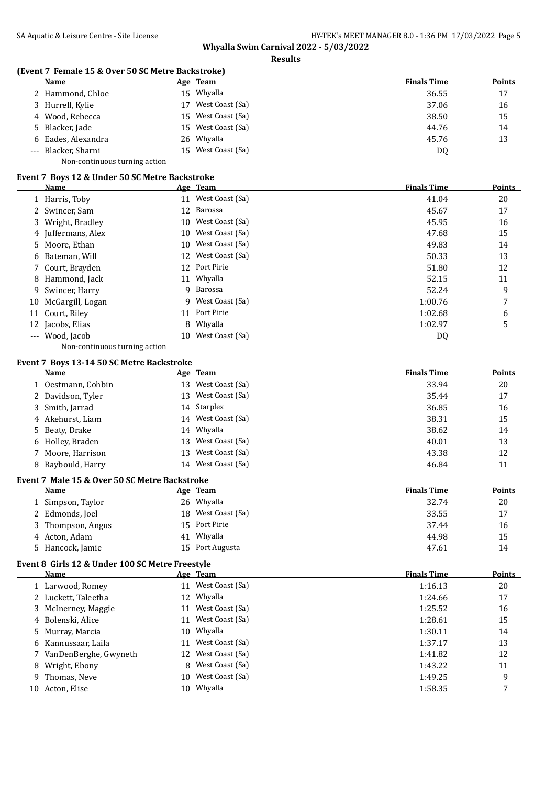#### **Results**

## **(Event 7 Female 15 & Over 50 SC Metre Backstroke)**

| Name                          |     | Age Team        | <b>Finals Time</b> | <b>Points</b> |
|-------------------------------|-----|-----------------|--------------------|---------------|
| 2 Hammond, Chloe              | 15. | Whyalla         | 36.55              | 17            |
| 3 Hurrell, Kylie              | 17  | West Coast (Sa) | 37.06              | 16            |
| 4 Wood, Rebecca               | 15. | West Coast (Sa) | 38.50              | 15            |
| 5 Blacker, Jade               | 15. | West Coast (Sa) | 44.76              | 14            |
| 6 Eades, Alexandra            |     | 26 Whyalla      | 45.76              | 13            |
| --- Blacker, Sharni           | 15. | West Coast (Sa) | DQ                 |               |
| Non-continuous turning action |     |                 |                    |               |

#### **Event 7 Boys 12 & Under 50 SC Metre Backstroke**

| Name                |    | Age Team           | <b>Finals Time</b> | <b>Points</b> |
|---------------------|----|--------------------|--------------------|---------------|
| 1 Harris, Toby      |    | 11 West Coast (Sa) | 41.04              | 20            |
| 2 Swincer, Sam      | 12 | Barossa            | 45.67              | 17            |
| 3 Wright, Bradley   | 10 | West Coast (Sa)    | 45.95              | 16            |
| 4 Juffermans, Alex  | 10 | West Coast (Sa)    | 47.68              | 15            |
| 5 Moore, Ethan      | 10 | West Coast (Sa)    | 49.83              | 14            |
| 6 Bateman, Will     | 12 | West Coast (Sa)    | 50.33              | 13            |
| 7 Court, Brayden    |    | 12 Port Pirie      | 51.80              | 12            |
| 8 Hammond, Jack     |    | 11 Whyalla         | 52.15              | 11            |
| 9 Swincer, Harry    | 9  | Barossa            | 52.24              | 9             |
| 10 McGargill, Logan |    | 9 West Coast (Sa)  | 1:00.76            | 7             |
| 11 Court, Riley     |    | 11 Port Pirie      | 1:02.68            | 6             |
| 12 Jacobs, Elias    | 8  | Whyalla            | 1:02.97            | 5             |
| --- Wood, Jacob     | 10 | West Coast (Sa)    | DQ                 |               |
|                     |    |                    |                    |               |

Non-continuous turning action

## **Event 7 Boys 13-14 50 SC Metre Backstroke**

| Name               |     | Age Team           | <b>Finals Time</b> | <b>Points</b> |
|--------------------|-----|--------------------|--------------------|---------------|
| 1 Oestmann, Cohbin | 13. | West Coast (Sa)    | 33.94              | 20            |
| 2 Davidson, Tyler  | 13. | West Coast (Sa)    | 35.44              | 17            |
| 3 Smith, Jarrad    |     | 14 Starplex        | 36.85              | 16            |
| 4 Akehurst, Liam   |     | 14 West Coast (Sa) | 38.31              | 15            |
| 5 Beaty, Drake     |     | 14 Whyalla         | 38.62              | 14            |
| 6 Holley, Braden   |     | 13 West Coast (Sa) | 40.01              | 13            |
| 7 Moore, Harrison  | 13  | West Coast (Sa)    | 43.38              | 12            |
| 8 Raybould, Harry  | 14  | West Coast (Sa)    | 46.84              | 11            |

#### **Event 7 Male 15 & Over 50 SC Metre Backstroke**

| Name              | Age Team           | <b>Finals Time</b> | <b>Points</b> |
|-------------------|--------------------|--------------------|---------------|
| 1 Simpson, Taylor | 26 Whyalla         | 32.74              | 20            |
| 2 Edmonds, Joel   | 18 West Coast (Sa) | 33.55              | 17            |
| 3 Thompson, Angus | 15 Port Pirie      | 37.44              | 16            |
| 4 Acton, Adam     | Whyalla<br>41      | 44.98              | 15            |
| 5 Hancock, Jamie  | 15 Port Augusta    | 47.61              | 14            |

## **Event 8 Girls 12 & Under 100 SC Metre Freestyle**

|     | Name                    |    | Age Team           | <b>Finals Time</b> | <b>Points</b> |
|-----|-------------------------|----|--------------------|--------------------|---------------|
|     | 1 Larwood, Romey        |    | 11 West Coast (Sa) | 1:16.13            | 20            |
|     | 2 Luckett, Taleetha     |    | 12 Whyalla         | 1:24.66            | 17            |
|     | 3 McInerney, Maggie     | 11 | West Coast (Sa)    | 1:25.52            | 16            |
|     | 4 Bolenski, Alice       |    | 11 West Coast (Sa) | 1:28.61            | 15            |
|     | 5 Murray, Marcia        | 10 | Whyalla            | 1:30.11            | 14            |
|     | 6 Kannussaar, Laila     |    | 11 West Coast (Sa) | 1:37.17            | 13            |
|     | 7 VanDenBerghe, Gwyneth |    | 12 West Coast (Sa) | 1:41.82            | 12            |
|     | 8 Wright, Ebony         | 8. | West Coast (Sa)    | 1:43.22            | 11            |
|     | 9 Thomas, Neve          | 10 | West Coast (Sa)    | 1:49.25            | 9             |
| 10- | Acton, Elise            | 10 | Whyalla            | 1:58.35            |               |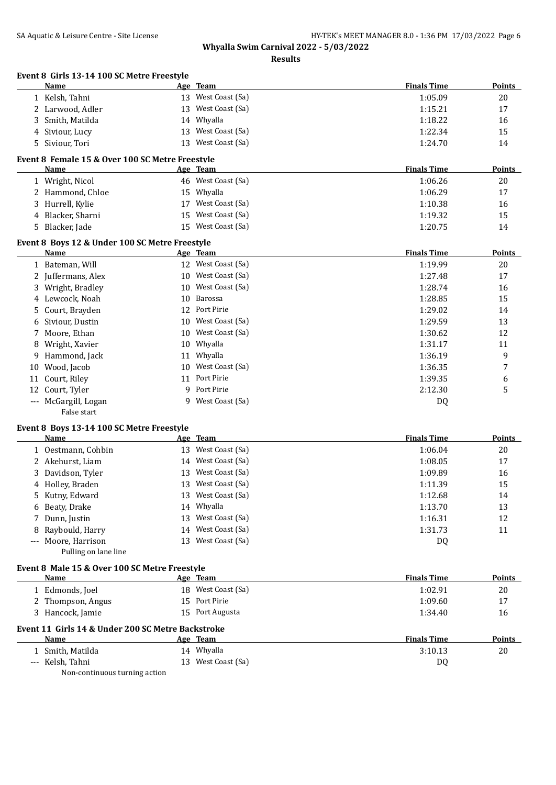| Event 8 Girls 13-14 100 SC Metre Freestyle<br>Name      |    | Age Team           | <b>Finals Time</b> | <b>Points</b> |
|---------------------------------------------------------|----|--------------------|--------------------|---------------|
| 1 Kelsh, Tahni                                          |    | 13 West Coast (Sa) | 1:05.09            | 20            |
| 2 Larwood, Adler                                        | 13 | West Coast (Sa)    | 1:15.21            | 17            |
| Smith, Matilda<br>3                                     | 14 | Whyalla            | 1:18.22            | 16            |
| Siviour, Lucy<br>4                                      | 13 | West Coast (Sa)    | 1:22.34            | 15            |
| Siviour, Tori                                           | 13 | West Coast (Sa)    | 1:24.70            | 14            |
| 5                                                       |    |                    |                    |               |
| Event 8 Female 15 & Over 100 SC Metre Freestyle<br>Name |    | <u>Age Team</u>    | <b>Finals Time</b> | <b>Points</b> |
|                                                         |    | 46 West Coast (Sa) | 1:06.26            | 20            |
| 1 Wright, Nicol                                         |    | 15 Whyalla         |                    | 17            |
| 2 Hammond, Chloe                                        |    |                    | 1:06.29            |               |
| 3 Hurrell, Kylie                                        |    | 17 West Coast (Sa) | 1:10.38            | 16            |
| 4 Blacker, Sharni                                       | 15 | West Coast (Sa)    | 1:19.32            | 15            |
| Blacker, Jade<br>5.                                     |    | 15 West Coast (Sa) | 1:20.75            | 14            |
| Event 8 Boys 12 & Under 100 SC Metre Freestyle          |    |                    |                    |               |
| Name                                                    |    | Age Team           | <b>Finals Time</b> | <b>Points</b> |
| 1 Bateman, Will                                         |    | 12 West Coast (Sa) | 1:19.99            | 20            |
| 2 Juffermans, Alex                                      |    | 10 West Coast (Sa) | 1:27.48            | 17            |
| Wright, Bradley<br>3                                    | 10 | West Coast (Sa)    | 1:28.74            | 16            |
| Lewcock, Noah<br>4                                      | 10 | <b>Barossa</b>     | 1:28.85            | 15            |
| Court, Brayden<br>5                                     | 12 | Port Pirie         | 1:29.02            | 14            |
| Siviour, Dustin<br>6                                    | 10 | West Coast (Sa)    | 1:29.59            | 13            |
| Moore, Ethan<br>7                                       | 10 | West Coast (Sa)    | 1:30.62            | 12            |
| Wright, Xavier<br>8                                     | 10 | Whyalla            | 1:31.17            | 11            |
| Hammond, Jack<br>9                                      | 11 | Whyalla            | 1:36.19            | 9             |
| Wood, Jacob<br>10                                       | 10 | West Coast (Sa)    | 1:36.35            | 7             |
| Court, Riley<br>11                                      |    | 11 Port Pirie      | 1:39.35            | 6             |
| Court, Tyler<br>12                                      | 9  | Port Pirie         | 2:12.30            | 5             |
| --- McGargill, Logan<br>False start                     | 9  | West Coast (Sa)    | DQ                 |               |
| Event 8 Boys 13-14 100 SC Metre Freestyle               |    |                    |                    |               |
| Name                                                    |    | Age Team           | <b>Finals Time</b> | Points        |
| 1 Oestmann, Cohbin                                      |    | 13 West Coast (Sa) | 1:06.04            | 20            |
| 2 Akehurst, Liam                                        |    | 14 West Coast (Sa) | 1:08.05            | 17            |
| Davidson, Tyler<br>3                                    | 13 | West Coast (Sa)    | 1:09.89            | 16            |
| 4 Holley, Braden                                        |    | 13 West Coast (Sa) | 1:11.39            | 15            |
| Kutny, Edward<br>5.                                     | 13 | West Coast (Sa)    | 1:12.68            | 14            |
| Beaty, Drake<br>6                                       |    | 14 Whyalla         | 1:13.70            | 13            |
| Dunn, Justin<br>7                                       | 13 | West Coast (Sa)    | 1:16.31            | 12            |
| Raybould, Harry<br>8                                    | 14 | West Coast (Sa)    | 1:31.73            | 11            |
| Moore, Harrison<br>Pulling on lane line                 | 13 | West Coast (Sa)    | DQ                 |               |
| Event 8 Male 15 & Over 100 SC Metre Freestyle           |    |                    |                    |               |
| <b>Name</b>                                             |    | <u>Age Team</u>    | <b>Finals Time</b> | <b>Points</b> |
| 1 Edmonds, Joel                                         |    | 18 West Coast (Sa) | 1:02.91            | 20            |
| 2 Thompson, Angus                                       |    | 15 Port Pirie      | 1:09.60            | 17            |
| 3 Hancock, Jamie                                        |    | 15 Port Augusta    | 1:34.40            | 16            |
| Event 11 Girls 14 & Under 200 SC Metre Backstroke       |    |                    |                    |               |
| Name                                                    |    | Age Team           | <b>Finals Time</b> | <b>Points</b> |
| 1 Smith, Matilda                                        |    | 14 Whyalla         | 3:10.13            | 20            |
| --- Kelsh, Tahni<br>Non-continuous turning action       |    | 13 West Coast (Sa) | DQ                 |               |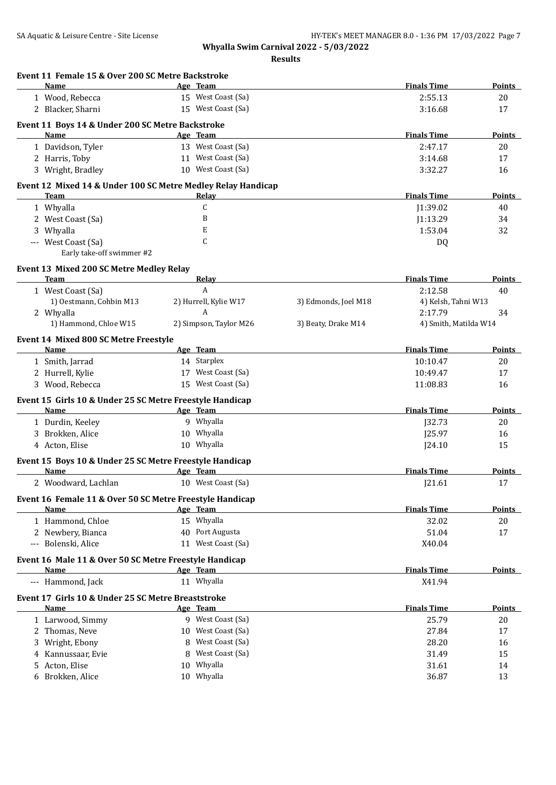| Event 11 Female 15 & Over 200 SC Metre Backstroke<br>Name            | Age Team                |                      | <b>Finals Time</b>    | Points        |
|----------------------------------------------------------------------|-------------------------|----------------------|-----------------------|---------------|
| 1 Wood, Rebecca                                                      | 15 West Coast (Sa)      |                      | 2:55.13               | 20            |
| 2 Blacker, Sharni                                                    | 15 West Coast (Sa)      |                      | 3:16.68               | 17            |
| Event 11 Boys 14 & Under 200 SC Metre Backstroke                     |                         |                      |                       |               |
| Name                                                                 | Age Team                |                      | <b>Finals Time</b>    | Points        |
| 1 Davidson, Tyler                                                    | 13 West Coast (Sa)      |                      | 2:47.17               | 20            |
| 2 Harris, Toby                                                       | 11 West Coast (Sa)      |                      | 3:14.68               | 17            |
| 3 Wright, Bradley                                                    | 10 West Coast (Sa)      |                      | 3:32.27               | 16            |
|                                                                      |                         |                      |                       |               |
| Event 12 Mixed 14 & Under 100 SC Metre Medley Relay Handicap<br>Team | Relay                   |                      | <b>Finals Time</b>    | <b>Points</b> |
| 1 Whyalla                                                            | C                       |                      | J1:39.02              | 40            |
| 2 West Coast (Sa)                                                    | B                       |                      | J1:13.29              | 34            |
| 3 Whyalla                                                            | E                       |                      | 1:53.04               | 32            |
| --- West Coast (Sa)                                                  | C                       |                      | DQ                    |               |
| Early take-off swimmer #2                                            |                         |                      |                       |               |
|                                                                      |                         |                      |                       |               |
| Event 13 Mixed 200 SC Metre Medley Relay<br>Team                     | Relay                   |                      | <b>Finals Time</b>    | <b>Points</b> |
| 1 West Coast (Sa)                                                    | A                       |                      | 2:12.58               | 40            |
| 1) Oestmann, Cohbin M13                                              | 2) Hurrell, Kylie W17   | 3) Edmonds, Joel M18 | 4) Kelsh, Tahni W13   |               |
| 2 Whyalla                                                            | A                       |                      | 2:17.79               | 34            |
| 1) Hammond, Chloe W15                                                | 2) Simpson, Taylor M26  | 3) Beaty, Drake M14  | 4) Smith, Matilda W14 |               |
|                                                                      |                         |                      |                       |               |
| Event 14 Mixed 800 SC Metre Freestyle<br>Name                        | Age Team                |                      | <b>Finals Time</b>    | Points        |
| 1 Smith, Jarrad                                                      | 14 Starplex             |                      | 10:10.47              | 20            |
| 2 Hurrell, Kylie                                                     | 17 West Coast (Sa)      |                      | 10:49.47              | 17            |
| 3 Wood, Rebecca                                                      | 15 West Coast (Sa)      |                      | 11:08.83              | 16            |
|                                                                      |                         |                      |                       |               |
| Event 15 Girls 10 & Under 25 SC Metre Freestyle Handicap             |                         |                      |                       |               |
| Name                                                                 | Age Team                |                      | <b>Finals Time</b>    | <b>Points</b> |
| 1 Durdin, Keeley                                                     | 9 Whyalla<br>10 Whyalla |                      | J32.73                | 20            |
| 3 Brokken, Alice<br>4 Acton, Elise                                   | 10 Whyalla              |                      | J25.97<br>I24.10      | 16<br>15      |
|                                                                      |                         |                      |                       |               |
| Event 15 Boys 10 & Under 25 SC Metre Freestyle Handicap              |                         |                      |                       |               |
| Name                                                                 | Age Team                |                      | <b>Finals Time</b>    | Points        |
| 2 Woodward, Lachlan                                                  | 10 West Coast (Sa)      |                      | [21.61]               | 17            |
| Event 16 Female 11 & Over 50 SC Metre Freestyle Handicap             |                         |                      |                       |               |
| Name                                                                 | Age Team                |                      | <b>Finals Time</b>    | <b>Points</b> |
| 1 Hammond, Chloe                                                     | 15 Whyalla              |                      | 32.02                 | 20            |
| 2 Newbery, Bianca                                                    | 40 Port Augusta         |                      | 51.04                 | 17            |
| --- Bolenski, Alice                                                  | 11 West Coast (Sa)      |                      | X40.04                |               |
| Event 16 Male 11 & Over 50 SC Metre Freestyle Handicap               |                         |                      |                       |               |
| <b>Name</b>                                                          | Age Team                |                      | <b>Finals Time</b>    | <b>Points</b> |
| --- Hammond, Jack                                                    | 11 Whyalla              |                      | X41.94                |               |
| Event 17 Girls 10 & Under 25 SC Metre Breaststroke                   |                         |                      |                       |               |
| Name                                                                 | Age Team                |                      | <b>Finals Time</b>    | <b>Points</b> |
| 1 Larwood, Simmy                                                     | 9 West Coast (Sa)       |                      | 25.79                 | 20            |
| 2 Thomas, Neve                                                       | 10 West Coast (Sa)      |                      | 27.84                 | 17            |
| 3 Wright, Ebony                                                      | 8 West Coast (Sa)       |                      | 28.20                 | 16            |
| 4 Kannussaar, Evie                                                   | 8 West Coast (Sa)       |                      | 31.49                 | 15            |
| 5 Acton, Elise                                                       | 10 Whyalla              |                      | 31.61                 | 14            |
| 6 Brokken, Alice                                                     | 10 Whyalla              |                      | 36.87                 | 13            |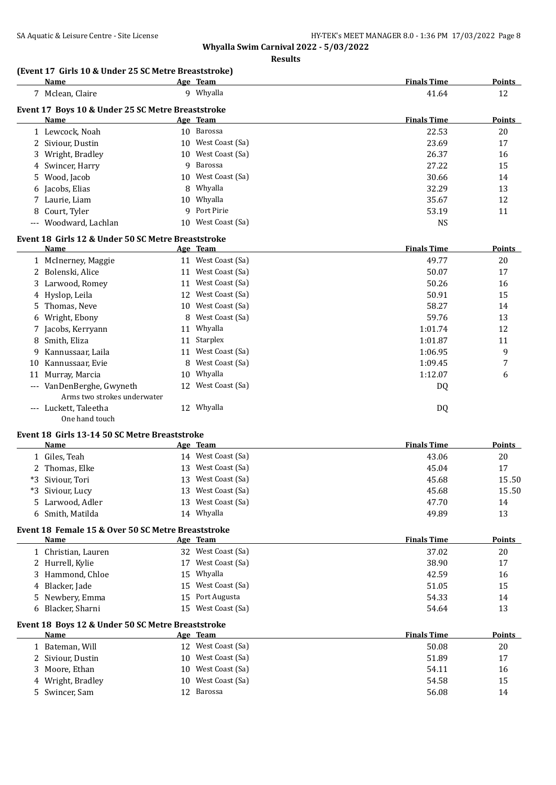**Whyalla Swim Carnival 2022 - 5/03/2022 Results**

## **(Event 17 Girls 10 & Under 25 SC Metre Breaststroke)**

| Name                                              |    | Age Team           | <b>Finals Time</b> | <b>Points</b> |
|---------------------------------------------------|----|--------------------|--------------------|---------------|
| Mclean, Claire                                    |    | 9 Whyalla          | 41.64              | 12            |
| Event 17 Boys 10 & Under 25 SC Metre Breaststroke |    |                    |                    |               |
| Name                                              |    | Age Team           | <b>Finals Time</b> | <b>Points</b> |
| 1 Lewcock, Noah                                   |    | 10 Barossa         | 22.53              | 20            |
| 2 Siviour, Dustin                                 |    | 10 West Coast (Sa) | 23.69              | 17            |
| 3 Wright, Bradley                                 |    | 10 West Coast (Sa) | 26.37              | 16            |
| 4 Swincer, Harry                                  |    | 9 Barossa          | 27.22              | 15            |
| 5 Wood, Jacob                                     |    | 10 West Coast (Sa) | 30.66              | 14            |
| 6 Jacobs, Elias                                   |    | 8 Whyalla          | 32.29              | 13            |
| 7 Laurie, Liam                                    |    | 10 Whyalla         | 35.67              | 12            |
| 8 Court, Tyler                                    |    | 9 Port Pirie       | 53.19              | 11            |
| --- Woodward, Lachlan                             | 10 | West Coast (Sa)    | NS                 |               |

## **Event 18 Girls 12 & Under 50 SC Metre Breaststroke**

|       | Name                        |    | Age Team           | <b>Finals Time</b> | <b>Points</b> |
|-------|-----------------------------|----|--------------------|--------------------|---------------|
|       | 1 McInerney, Maggie         | 11 | West Coast (Sa)    | 49.77              | 20            |
|       | 2 Bolenski, Alice           | 11 | West Coast (Sa)    | 50.07              | 17            |
|       | 3 Larwood, Romey            | 11 | West Coast (Sa)    | 50.26              | 16            |
|       | 4 Hyslop, Leila             | 12 | West Coast (Sa)    | 50.91              | 15            |
|       | 5 Thomas, Neve              |    | 10 West Coast (Sa) | 58.27              | 14            |
|       | 6 Wright, Ebony             | 8  | West Coast (Sa)    | 59.76              | 13            |
|       | 7 Jacobs, Kerryann          |    | 11 Whyalla         | 1:01.74            | 12            |
| 8     | Smith, Eliza                | 11 | Starplex           | 1:01.87            | 11            |
|       | 9 Kannussaar, Laila         | 11 | West Coast (Sa)    | 1:06.95            | 9             |
| 10    | Kannussaar, Evie            | 8  | West Coast (Sa)    | 1:09.45            | 7             |
|       | 11 Murray, Marcia           |    | 10 Whyalla         | 1:12.07            | 6             |
|       | --- VanDenBerghe, Gwyneth   |    | 12 West Coast (Sa) | DQ                 |               |
|       | Arms two strokes underwater |    |                    |                    |               |
| $---$ | Luckett, Taleetha           | 12 | Whyalla            | DQ                 |               |
|       | One hand touch              |    |                    |                    |               |

#### **Event 18 Girls 13-14 50 SC Metre Breaststroke**

|                                                    | <b>Name</b>      |     | Age Team           | <b>Finals Time</b> | Points |  |
|----------------------------------------------------|------------------|-----|--------------------|--------------------|--------|--|
|                                                    | 1 Giles, Teah    |     | 14 West Coast (Sa) | 43.06              | 20     |  |
|                                                    | 2 Thomas, Elke   |     | 13 West Coast (Sa) | 45.04              | 17     |  |
|                                                    | *3 Siviour, Tori | 13. | West Coast (Sa)    | 45.68              | 15.50  |  |
|                                                    | *3 Siviour, Lucy |     | 13 West Coast (Sa) | 45.68              | 15.50  |  |
|                                                    | 5 Larwood, Adler |     | 13 West Coast (Sa) | 47.70              | 14     |  |
|                                                    | 6 Smith, Matilda |     | 14 Whyalla         | 49.89              | 13     |  |
| Event 18 Female 15 & Over 50 SC Metre Breaststroke |                  |     |                    |                    |        |  |
|                                                    | Name             |     | Age Team           | <b>Finals Time</b> | Points |  |

| 1 Christian, Lauren |    | 32 West Coast (Sa) | 37.02 | 20 |
|---------------------|----|--------------------|-------|----|
| 2 Hurrell, Kylie    | 17 | West Coast (Sa)    | 38.90 | 17 |
| 3 Hammond, Chloe    |    | 15 Whyalla         | 42.59 | 16 |
| 4 Blacker, Jade     |    | 15 West Coast (Sa) | 51.05 | 15 |
| 5 Newbery, Emma     |    | 15 Port Augusta    | 54.33 | 14 |
| 6 Blacker, Sharni   |    | 15 West Coast (Sa) | 54.64 | 13 |

## **Event 18 Boys 12 & Under 50 SC Metre Breaststroke**

| Name              |            | <b>Finals Time</b>                                                                               | <b>Points</b> |
|-------------------|------------|--------------------------------------------------------------------------------------------------|---------------|
| 1 Bateman, Will   |            | 50.08                                                                                            | 20            |
| 2 Siviour, Dustin |            | 51.89                                                                                            | 17            |
| 3 Moore, Ethan    |            | 54.11                                                                                            | 16            |
| 4 Wright, Bradley |            | 54.58                                                                                            | 15            |
| 5 Swincer, Sam    | 12 Barossa | 56.08                                                                                            | 14            |
|                   |            | Age Team<br>12 West Coast (Sa)<br>10 West Coast (Sa)<br>10 West Coast (Sa)<br>10 West Coast (Sa) |               |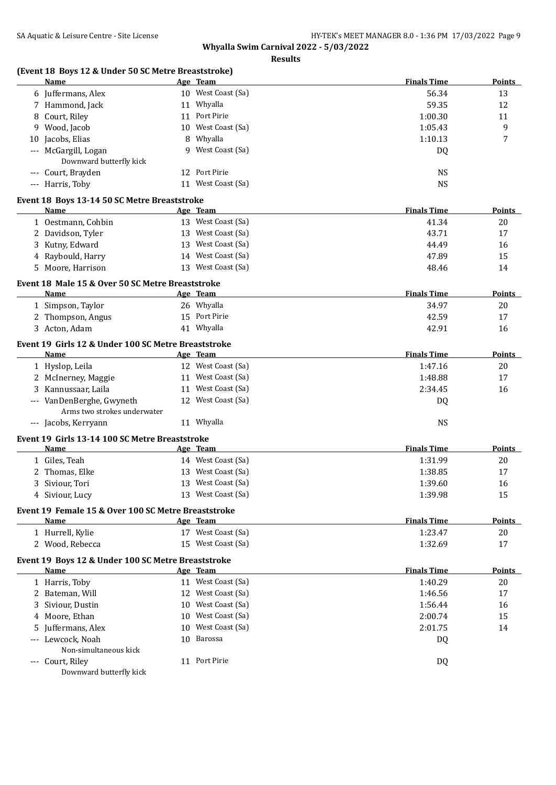| SA Aquatic & Leisure Centre - Site License                  | Whyalla Swim Carnival 2022 - 5/03/2022 | HY-TEK's MEET MANAGER 8.0 - 1:36 PM 17/03/2022 Page |               |
|-------------------------------------------------------------|----------------------------------------|-----------------------------------------------------|---------------|
|                                                             | <b>Results</b>                         |                                                     |               |
| (Event 18 Boys 12 & Under 50 SC Metre Breaststroke)         |                                        |                                                     |               |
| Name                                                        | Age Team                               | <b>Finals Time</b>                                  | Points        |
| 6 Juffermans, Alex                                          | 10 West Coast (Sa)                     | 56.34                                               | 13            |
| 7 Hammond, Jack                                             | 11 Whyalla                             | 59.35                                               | 12            |
| 8 Court, Riley                                              | 11 Port Pirie                          | 1:00.30                                             | 11            |
| 9 Wood, Jacob                                               | 10 West Coast (Sa)                     | 1:05.43                                             | 9             |
| 10 Jacobs, Elias                                            | 8 Whyalla                              | 1:10.13                                             | 7             |
| --- McGargill, Logan<br>Downward butterfly kick             | 9 West Coast (Sa)                      | DQ                                                  |               |
| --- Court, Brayden                                          | 12 Port Pirie                          | <b>NS</b>                                           |               |
| --- Harris, Toby                                            | 11 West Coast (Sa)                     | <b>NS</b>                                           |               |
| Event 18 Boys 13-14 50 SC Metre Breaststroke                |                                        |                                                     |               |
| Name                                                        | Age Team                               | <b>Finals Time</b>                                  | <u>Points</u> |
| 1 Oestmann, Cohbin                                          | 13 West Coast (Sa)                     | 41.34                                               | 20            |
| 2 Davidson, Tyler                                           | 13 West Coast (Sa)                     | 43.71                                               | 17            |
| 3 Kutny, Edward                                             | 13 West Coast (Sa)                     | 44.49                                               | 16            |
| 4 Raybould, Harry                                           | 14 West Coast (Sa)                     | 47.89                                               | 15            |
| 5 Moore, Harrison                                           | 13 West Coast (Sa)                     | 48.46                                               | 14            |
| Event 18 Male 15 & Over 50 SC Metre Breaststroke            |                                        |                                                     |               |
| <b>Name</b>                                                 | Age Team                               | <b>Finals Time</b>                                  | <b>Points</b> |
| 1 Simpson, Taylor                                           | 26 Whyalla                             | 34.97                                               | 20            |
| 2 Thompson, Angus                                           | 15 Port Pirie                          | 42.59                                               | 17            |
| 3 Acton, Adam                                               | 41 Whyalla                             | 42.91                                               | 16            |
| Event 19 Girls 12 & Under 100 SC Metre Breaststroke         |                                        |                                                     |               |
| Name                                                        | Age Team                               | <b>Finals Time</b>                                  | <b>Points</b> |
| 1 Hyslop, Leila                                             | 12 West Coast (Sa)                     | 1:47.16                                             | 20            |
| 2 McInerney, Maggie                                         | 11 West Coast (Sa)                     | 1:48.88                                             | 17            |
| 3 Kannussaar, Laila                                         | 11 West Coast (Sa)                     | 2:34.45                                             | 16            |
| --- VanDenBerghe, Gwyneth                                   | 12 West Coast (Sa)                     | DQ                                                  |               |
| Arms two strokes underwater                                 |                                        |                                                     |               |
| --- Jacobs, Kerryann                                        | 11 Whyalla                             | <b>NS</b>                                           |               |
| Event 19 Girls 13-14 100 SC Metre Breaststroke              |                                        |                                                     |               |
| Name                                                        | <u>Age Team</u>                        | <b>Finals Time</b>                                  | Points        |
| 1 Giles, Teah                                               | 14 West Coast (Sa)                     | 1:31.99                                             | 20            |
| 2 Thomas, Elke                                              | 13 West Coast (Sa)                     | 1:38.85                                             | 17            |
| 3 Siviour, Tori                                             | 13 West Coast (Sa)                     | 1:39.60                                             | 16            |
| 4 Siviour, Lucy                                             | 13 West Coast (Sa)                     | 1:39.98                                             | 15            |
|                                                             |                                        |                                                     |               |
| Event 19 Female 15 & Over 100 SC Metre Breaststroke<br>Name | Age Team                               | <b>Finals Time</b>                                  |               |
|                                                             | 17 West Coast (Sa)                     |                                                     | <b>Points</b> |
| 1 Hurrell, Kylie                                            | 15 West Coast (Sa)                     | 1:23.47                                             | 20            |
| 2 Wood, Rebecca                                             |                                        | 1:32.69                                             | 17            |
| Event 19 Boys 12 & Under 100 SC Metre Breaststroke          |                                        |                                                     |               |
| Name                                                        | Age Team                               | <b>Finals Time</b>                                  | <u>Points</u> |
| 1 Harris, Toby                                              | 11 West Coast (Sa)                     | 1:40.29                                             | 20            |

| 4 SIVIOUI, LUCV                                   | 13 West Coast (Sa) | 1:39.98            | 15.    |  |  |  |
|---------------------------------------------------|--------------------|--------------------|--------|--|--|--|
| ent 19 Female 15 & Over 100 SC Metre Breaststroke |                    |                    |        |  |  |  |
| Name                                              | Age Team           | <b>Finals Time</b> | Points |  |  |  |
| 1 Hurrell, Kylie<br>17                            | West Coast (Sa)    | 1:23.47            | 20     |  |  |  |
| 2 Wood, Rebecca                                   | 15 West Coast (Sa) | 1:32.69            | 17     |  |  |  |
| ent 19 Boys 12 & Under 100 SC Metre Breaststroke  |                    |                    |        |  |  |  |
| <b>Name</b>                                       | Age Team           | <b>Finals Time</b> | Points |  |  |  |
| 1 Harris, Toby                                    | 11 West Coast (Sa) | 1:40.29            | 20     |  |  |  |
| 2 Bateman, Will                                   | 12 West Coast (Sa) | 1:46.56            | 17     |  |  |  |
| 3 Siviour, Dustin                                 | 10 West Coast (Sa) | 1:56.44            | 16     |  |  |  |
| 4 Moore, Ethan                                    | 10 West Coast (Sa) | 2:00.74            | 15     |  |  |  |
| 5 Juffermans, Alex                                | 10 West Coast (Sa) | 2:01.75            | 14     |  |  |  |
| --- Lewcock, Noah<br>10.                          | Barossa            | DQ                 |        |  |  |  |
| Non-simultaneous kick                             |                    |                    |        |  |  |  |

Non---- Court, Riley 11 Port Pirie DQ Downward butterfly kick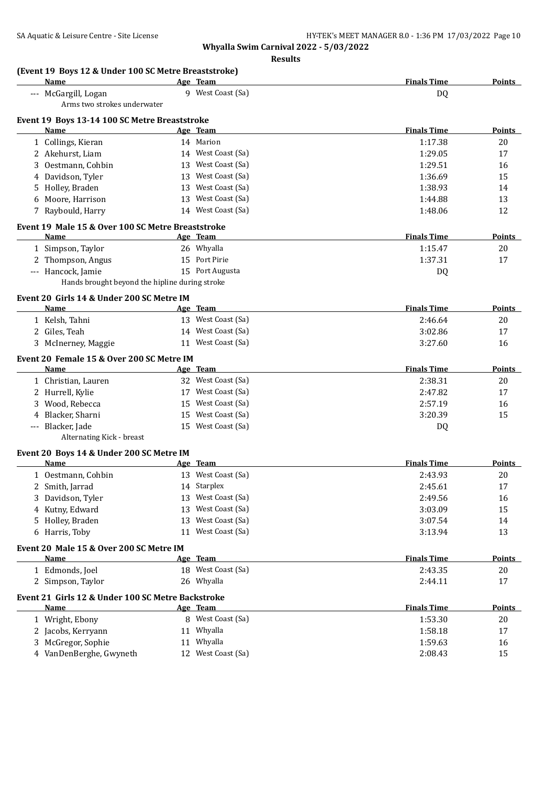**Whyalla Swim Carnival 2022 - 5/03/2022 Results**

| (Event 19 Boys 12 & Under 100 SC Metre Breaststroke)<br><b>Name</b> | Age Team           | <b>Finals Time</b> | <b>Points</b> |
|---------------------------------------------------------------------|--------------------|--------------------|---------------|
| --- McGargill, Logan<br>Arms two strokes underwater                 | 9 West Coast (Sa)  | DQ                 |               |
| Event 19 Boys 13-14 100 SC Metre Breaststroke                       |                    |                    |               |
| <b>Name</b>                                                         | Age Team           | <b>Finals Time</b> | <b>Points</b> |
| 1 Collings, Kieran                                                  | 14 Marion          | 1:17.38            | 20            |
| 2 Akehurst, Liam                                                    | 14 West Coast (Sa) | 1:29.05            | 17            |
| 3 Oestmann, Cohbin                                                  | 13 West Coast (Sa) | 1:29.51            | 16            |
| 4 Davidson, Tyler                                                   | 13 West Coast (Sa) | 1:36.69            | 15            |
| 5 Holley, Braden                                                    | 13 West Coast (Sa) | 1:38.93            | 14            |
| 6 Moore, Harrison                                                   | 13 West Coast (Sa) | 1:44.88            | 13            |
| 7 Raybould, Harry                                                   | 14 West Coast (Sa) | 1:48.06            | 12            |
| Event 19 Male 15 & Over 100 SC Metre Breaststroke                   |                    |                    |               |
| Name                                                                | Age Team           | <b>Finals Time</b> | <b>Points</b> |
| 1 Simpson, Taylor                                                   | 26 Whyalla         | 1:15.47            | 20            |
| 2 Thompson, Angus                                                   | 15 Port Pirie      | 1:37.31            | 17            |
| --- Hancock, Jamie                                                  | 15 Port Augusta    | DQ                 |               |
| Hands brought beyond the hipline during stroke                      |                    |                    |               |
| Event 20 Girls 14 & Under 200 SC Metre IM                           |                    |                    |               |
| Name                                                                | Age Team           | <b>Finals Time</b> | <b>Points</b> |
| 1 Kelsh, Tahni                                                      | 13 West Coast (Sa) | 2:46.64            | 20            |
| 2 Giles, Teah                                                       | 14 West Coast (Sa) | 3:02.86            | 17            |
| 3 McInerney, Maggie                                                 | 11 West Coast (Sa) | 3:27.60            | 16            |
|                                                                     |                    |                    |               |
| Event 20 Female 15 & Over 200 SC Metre IM<br>Name                   | Age Team           | <b>Finals Time</b> | <b>Points</b> |
| 1 Christian, Lauren                                                 | 32 West Coast (Sa) | 2:38.31            | 20            |
| 2 Hurrell, Kylie                                                    | 17 West Coast (Sa) | 2:47.82            | 17            |
| 3 Wood, Rebecca                                                     | 15 West Coast (Sa) | 2:57.19            | 16            |
| 4 Blacker, Sharni                                                   | 15 West Coast (Sa) | 3:20.39            | 15            |
| --- Blacker, Jade                                                   | 15 West Coast (Sa) | DQ                 |               |
| Alternating Kick - breast                                           |                    |                    |               |
|                                                                     |                    |                    |               |
| Event 20 Boys 14 & Under 200 SC Metre IM<br>Name                    | Age Team           | <b>Finals Time</b> | <b>Points</b> |
| 1 Oestmann, Cohbin                                                  | 13 West Coast (Sa) | 2:43.93            | 20            |
| 2 Smith, Jarrad                                                     | 14 Starplex        | 2:45.61            | 17            |
| Davidson, Tyler                                                     | 13 West Coast (Sa) | 2:49.56            | 16            |
| 4 Kutny, Edward                                                     | 13 West Coast (Sa) | 3:03.09            | 15            |
| 5 Holley, Braden                                                    | 13 West Coast (Sa) | 3:07.54            | 14            |
| 6 Harris, Toby                                                      | 11 West Coast (Sa) | 3:13.94            | 13            |
|                                                                     |                    |                    |               |
| Event 20 Male 15 & Over 200 SC Metre IM                             |                    |                    |               |
| <b>Name</b>                                                         | Age Team           | <b>Finals Time</b> | <b>Points</b> |
| 1 Edmonds, Joel                                                     | 18 West Coast (Sa) | 2:43.35            | 20            |
| 2 Simpson, Taylor                                                   | 26 Whyalla         | 2:44.11            | 17            |
| Event 21 Girls 12 & Under 100 SC Metre Backstroke                   |                    |                    |               |
| Name                                                                | Age Team           | <b>Finals Time</b> | <b>Points</b> |
| 1 Wright, Ebony                                                     | 8 West Coast (Sa)  | 1:53.30            | 20            |
| 2 Jacobs, Kerryann                                                  | 11 Whyalla         | 1:58.18            | 17            |
| 3 McGregor, Sophie                                                  | 11 Whyalla         | 1:59.63            | 16            |
| 4 VanDenBerghe, Gwyneth                                             | 12 West Coast (Sa) | 2:08.43            | 15            |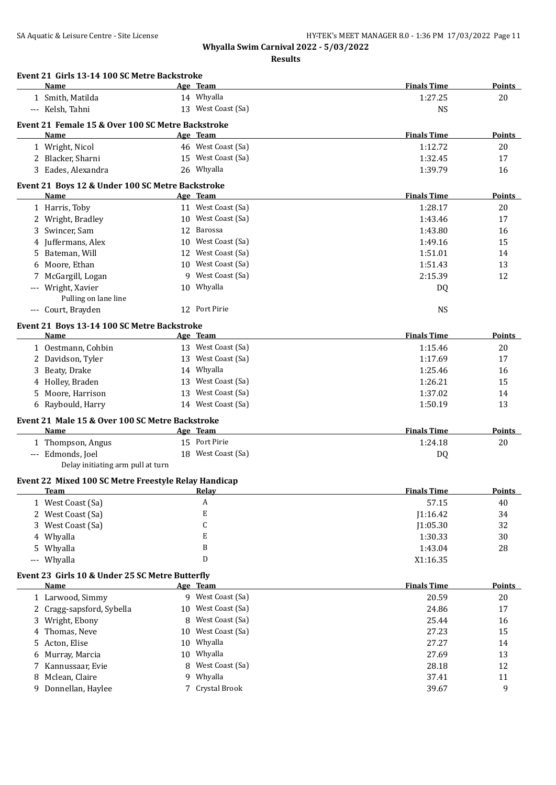|       | Name                                                    |    | Age Team                   | <b>Finals Time</b> | <b>Points</b> |
|-------|---------------------------------------------------------|----|----------------------------|--------------------|---------------|
|       | 1 Smith, Matilda                                        |    | 14 Whyalla                 | 1:27.25            | 20            |
|       | --- Kelsh, Tahni                                        |    | 13 West Coast (Sa)         | <b>NS</b>          |               |
|       | Event 21 Female 15 & Over 100 SC Metre Backstroke       |    |                            |                    |               |
|       | Name                                                    |    | <u>Age Team</u>            | <b>Finals Time</b> | Points        |
|       | 1 Wright, Nicol                                         |    | 46 West Coast (Sa)         | 1:12.72            | 20            |
|       | 2 Blacker, Sharni                                       |    | 15 West Coast (Sa)         | 1:32.45            | 17            |
|       | 3 Eades, Alexandra                                      |    | 26 Whyalla                 | 1:39.79            | 16            |
|       | Event 21 Boys 12 & Under 100 SC Metre Backstroke        |    |                            |                    |               |
|       | Name                                                    |    | Age Team                   | <b>Finals Time</b> | <b>Points</b> |
|       | 1 Harris, Toby                                          |    | 11 West Coast (Sa)         | 1:28.17            | 20            |
|       | 2 Wright, Bradley                                       |    | 10 West Coast (Sa)         | 1:43.46            | 17            |
|       | 3 Swincer, Sam                                          |    | 12 Barossa                 | 1:43.80            | 16            |
|       | 4 Juffermans, Alex                                      |    | 10 West Coast (Sa)         | 1:49.16            | 15            |
|       | 5 Bateman, Will                                         |    | 12 West Coast (Sa)         | 1:51.01            | 14            |
|       | 6 Moore, Ethan                                          |    | 10 West Coast (Sa)         | 1:51.43            | 13            |
|       | 7 McGargill, Logan                                      |    | 9 West Coast (Sa)          | 2:15.39            | 12            |
|       | --- Wright, Xavier                                      |    | 10 Whyalla                 | DQ                 |               |
|       | Pulling on lane line                                    |    |                            |                    |               |
|       | --- Court, Brayden                                      |    | 12 Port Pirie              | <b>NS</b>          |               |
|       |                                                         |    |                            |                    |               |
|       | Event 21 Boys 13-14 100 SC Metre Backstroke             |    |                            |                    |               |
|       | Name                                                    |    | Age Team                   | <b>Finals Time</b> | Points        |
|       | 1 Oestmann, Cohbin                                      |    | 13 West Coast (Sa)         | 1:15.46            | 20            |
|       | 2 Davidson, Tyler                                       |    | 13 West Coast (Sa)         | 1:17.69            | 17            |
|       | Beaty, Drake                                            |    | 14 Whyalla                 | 1:25.46            | 16            |
|       | 4 Holley, Braden                                        |    | 13 West Coast (Sa)         | 1:26.21            | 15            |
| 5.    | Moore, Harrison                                         |    | 13 West Coast (Sa)         | 1:37.02            | 14            |
|       | 6 Raybould, Harry                                       |    | 14 West Coast (Sa)         | 1:50.19            | 13            |
|       | Event 21 Male 15 & Over 100 SC Metre Backstroke         |    |                            |                    |               |
|       | Name                                                    |    | Age Team                   | <b>Finals Time</b> | <b>Points</b> |
|       | 1 Thompson, Angus                                       |    | 15 Port Pirie              | 1:24.18            | 20            |
|       | --- Edmonds, Joel                                       |    | 18 West Coast (Sa)         | DQ                 |               |
|       | Delay initiating arm pull at turn                       |    |                            |                    |               |
|       | Event 22 Mixed 100 SC Metre Freestyle Relay Handicap    |    |                            |                    |               |
|       | <u>Team</u>                                             |    |                            | <b>Finals Time</b> | <u>Points</u> |
|       | 1 West Coast (Sa)                                       |    | A                          | 57.15              | 40            |
|       | 2 West Coast (Sa)                                       |    | E                          | J1:16.42           | 34            |
| 3     | West Coast (Sa)                                         |    | C                          | J1:05.30           | 32            |
|       | 4 Whyalla                                               |    | E                          | 1:30.33            | 30            |
| 5     | Whyalla                                                 |    | B                          | 1:43.04            | 28            |
| $---$ | Whyalla                                                 |    | D                          | X1:16.35           |               |
|       |                                                         |    |                            |                    |               |
|       | Event 23 Girls 10 & Under 25 SC Metre Butterfly<br>Name |    | Age Team                   | <b>Finals Time</b> | <b>Points</b> |
|       | 1 Larwood, Simmy                                        |    | 9 West Coast (Sa)          | 20.59              | 20            |
|       | 2 Cragg-sapsford, Sybella                               | 10 | West Coast (Sa)            | 24.86              | 17            |
|       | Wright, Ebony                                           | 8  | West Coast (Sa)            | 25.44              |               |
| 3     |                                                         |    | West Coast (Sa)            |                    | 16            |
| 4     | Thomas, Neve<br>Acton, Elise                            | 10 | Whyalla                    | 27.23              | 15            |
| 5.    |                                                         | 10 |                            | 27.27              | 14            |
| 6     | Murray, Marcia                                          | 10 | Whyalla                    | 27.69              | 13            |
| 7     | Kannussaar, Evie                                        | 8  | West Coast (Sa)            | 28.18              | 12            |
| 8     | Mclean, Claire<br>Donnellan, Haylee                     | 9  | Whyalla<br>7 Crystal Brook | 37.41<br>39.67     | 11            |
| 9     |                                                         |    |                            |                    | 9             |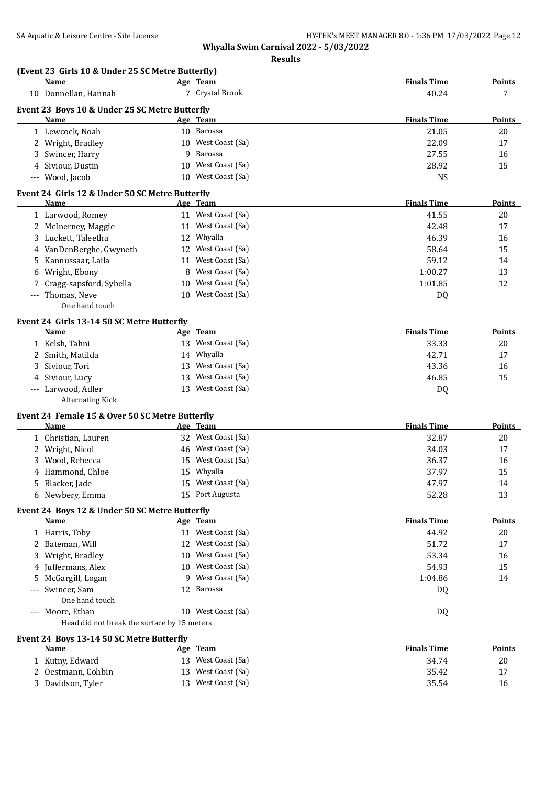|  |  | (Event 23 Girls 10 & Under 25 SC Metre Butterfly) |  |  |
|--|--|---------------------------------------------------|--|--|
|--|--|---------------------------------------------------|--|--|

|    | (Event 23 Girls 10 & Under 25 SC Metre Butterfly)<br>Name |    | Age Team                              | <b>Finals Time</b> | <b>Points</b> |
|----|-----------------------------------------------------------|----|---------------------------------------|--------------------|---------------|
|    | 10 Donnellan, Hannah                                      |    | 7 Crystal Brook                       | 40.24              | 7             |
|    | Event 23 Boys 10 & Under 25 SC Metre Butterfly            |    |                                       |                    |               |
|    | Name                                                      |    | Age Team                              | <b>Finals Time</b> | Points        |
|    | 1 Lewcock, Noah                                           |    | 10 Barossa                            | 21.05              | 20            |
|    | 2 Wright, Bradley                                         |    | 10 West Coast (Sa)                    | 22.09              | 17            |
|    | 3 Swincer, Harry                                          | 9  | Barossa                               | 27.55              | 16            |
|    | 4 Siviour, Dustin                                         |    | 10 West Coast (Sa)                    | 28.92              | 15            |
|    | --- Wood, Jacob                                           |    | 10 West Coast (Sa)                    | <b>NS</b>          |               |
|    | Event 24 Girls 12 & Under 50 SC Metre Butterfly           |    |                                       |                    |               |
|    | Name                                                      |    | <u>Age Team</u>                       | <b>Finals Time</b> | <b>Points</b> |
|    | 1 Larwood, Romey                                          |    | 11 West Coast (Sa)                    | 41.55              | 20            |
|    | 2 McInerney, Maggie                                       |    | 11 West Coast (Sa)                    | 42.48              | 17            |
|    | 3 Luckett, Taleetha                                       |    | 12 Whyalla                            | 46.39              | 16            |
|    | 4 VanDenBerghe, Gwyneth                                   |    | 12 West Coast (Sa)                    | 58.64              | 15            |
|    | Kannussaar, Laila                                         |    | 11 West Coast (Sa)                    | 59.12              | 14            |
| 5  | 6 Wright, Ebony                                           | 8  | West Coast (Sa)                       | 1:00.27            | 13            |
|    |                                                           |    |                                       |                    |               |
|    | 7 Cragg-sapsford, Sybella                                 | 10 | West Coast (Sa)                       | 1:01.85            | 12            |
|    | --- Thomas, Neve<br>One hand touch                        |    | 10 West Coast (Sa)                    | DQ                 |               |
|    | Event 24 Girls 13-14 50 SC Metre Butterfly                |    |                                       |                    |               |
|    | Name                                                      |    | Age Team                              | <b>Finals Time</b> | Points        |
|    | 1 Kelsh, Tahni                                            |    | 13 West Coast (Sa)                    | 33.33              | 20            |
|    | 2 Smith, Matilda                                          |    | 14 Whyalla                            | 42.71              | 17            |
| 3  | Siviour, Tori                                             | 13 | West Coast (Sa)                       | 43.36              | 16            |
|    | Siviour, Lucy                                             | 13 | West Coast (Sa)                       | 46.85              | 15            |
|    | --- Larwood, Adler<br><b>Alternating Kick</b>             |    | 13 West Coast (Sa)                    | DQ                 |               |
|    | Event 24 Female 15 & Over 50 SC Metre Butterfly           |    |                                       |                    |               |
|    | Name                                                      |    | Age Team                              | <b>Finals Time</b> | Points        |
|    | 1 Christian, Lauren                                       |    | 32 West Coast (Sa)                    | 32.87              | 20            |
|    | 2 Wright, Nicol                                           |    | 46 West Coast (Sa)                    | 34.03              | 17            |
|    | Wood, Rebecca                                             |    | 15 West Coast (Sa)                    | 36.37              | 16            |
|    | Hammond, Chloe                                            |    | 15 Whyalla                            | 37.97              | 15            |
| 5. | Blacker, Jade                                             |    | 15 West Coast (Sa)                    | 47.97              | 14            |
|    | 6 Newbery, Emma                                           |    | 15 Port Augusta                       | 52.28              | 13            |
|    | Event 24 Boys 12 & Under 50 SC Metre Butterfly            |    |                                       |                    |               |
|    | Name                                                      |    | Age Team                              | <b>Finals Time</b> | <b>Points</b> |
|    | 1 Harris, Toby                                            |    | 11 West Coast (Sa)                    | 44.92              | 20            |
|    | 2 Bateman, Will                                           |    | 12 West Coast (Sa)                    | 51.72              | 17            |
|    | 3 Wright, Bradley                                         |    | 10 West Coast (Sa)                    | 53.34              | 16            |
|    | 4 Juffermans, Alex                                        |    | 10 West Coast (Sa)                    | 54.93              | 15            |
|    | 5 McGargill, Logan                                        |    | 9 West Coast (Sa)                     | 1:04.86            | 14            |
|    | --- Swincer, Sam<br>One hand touch                        |    | 12 Barossa                            | DQ                 |               |
|    | --- Moore, Ethan                                          |    | 10 West Coast (Sa)                    | DQ                 |               |
|    | Head did not break the surface by 15 meters               |    |                                       |                    |               |
|    | Event 24 Boys 13-14 50 SC Metre Butterfly                 |    |                                       |                    |               |
|    | <b>Name</b>                                               |    | Age Team                              | <b>Finals Time</b> | <b>Points</b> |
|    | 1 Kutny, Edward                                           |    | 13 West Coast (Sa)<br>West Coast (Sa) | 34.74              | 20            |
|    | 2 Oestmann, Cohbin                                        | 13 |                                       | 35.42              | 17            |
|    | 3 Davidson, Tyler                                         |    | 13 West Coast (Sa)                    | 35.54              | 16            |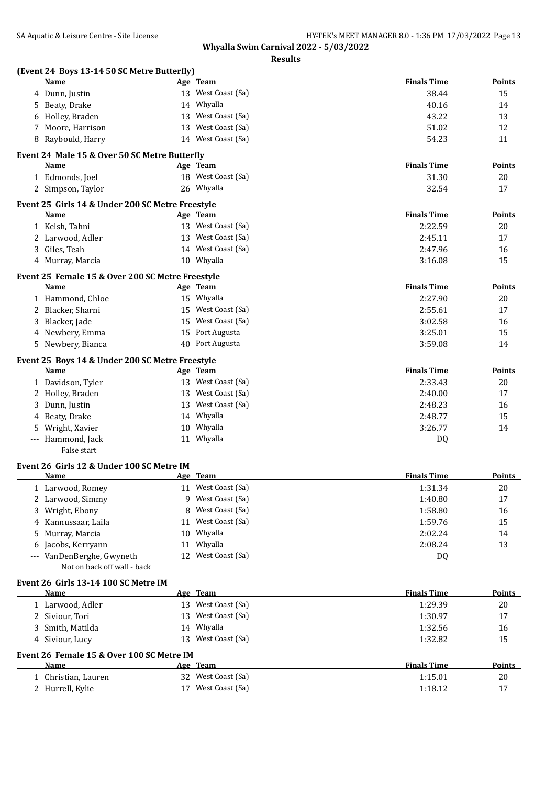| (Event 24 Boys 13-14 50 SC Metre Butterfly)<br>Name      | Age Team        |                    | <b>Finals Time</b> | <b>Points</b> |
|----------------------------------------------------------|-----------------|--------------------|--------------------|---------------|
| 4 Dunn, Justin                                           |                 | 13 West Coast (Sa) | 38.44              | 15            |
| Beaty, Drake<br>5.                                       | 14 Whyalla      |                    | 40.16              | 14            |
| Holley, Braden<br>6                                      |                 | 13 West Coast (Sa) | 43.22              | 13            |
| Moore, Harrison                                          | 13              | West Coast (Sa)    | 51.02              | 12            |
| Raybould, Harry<br>8                                     |                 | 14 West Coast (Sa) | 54.23              | 11            |
| Event 24 Male 15 & Over 50 SC Metre Butterfly            |                 |                    |                    |               |
| Name                                                     | Age Team        |                    | <b>Finals Time</b> | Points        |
| 1 Edmonds, Joel                                          |                 | 18 West Coast (Sa) | 31.30              | 20            |
| 2 Simpson, Taylor                                        | 26 Whyalla      |                    | 32.54              | 17            |
| Event 25 Girls 14 & Under 200 SC Metre Freestyle         |                 |                    |                    |               |
| Name                                                     | Age Team        |                    | <b>Finals Time</b> | Points        |
| 1 Kelsh, Tahni                                           |                 | 13 West Coast (Sa) | 2:22.59            | 20            |
| 2 Larwood, Adler                                         |                 | 13 West Coast (Sa) | 2:45.11            | 17            |
| Giles, Teah<br>3                                         |                 | 14 West Coast (Sa) | 2:47.96            | 16            |
| 4 Murray, Marcia                                         | 10 Whyalla      |                    | 3:16.08            | 15            |
| Event 25 Female 15 & Over 200 SC Metre Freestyle         |                 |                    |                    |               |
| <b>Name</b>                                              | Age Team        |                    | <b>Finals Time</b> | <b>Points</b> |
| 1 Hammond, Chloe                                         | 15 Whyalla      |                    | 2:27.90            | 20            |
| 2 Blacker, Sharni                                        |                 | 15 West Coast (Sa) | 2:55.61            | 17            |
| Blacker, Jade<br>3                                       |                 | 15 West Coast (Sa) | 3:02.58            | 16            |
| 4 Newbery, Emma                                          |                 | 15 Port Augusta    | 3:25.01            | 15            |
| Newbery, Bianca<br>5                                     |                 | 40 Port Augusta    | 3:59.08            | 14            |
| Event 25 Boys 14 & Under 200 SC Metre Freestyle          |                 |                    |                    |               |
| Name                                                     | Age Team        |                    | <b>Finals Time</b> | <b>Points</b> |
| 1 Davidson, Tyler                                        |                 | 13 West Coast (Sa) | 2:33.43            | 20            |
| 2 Holley, Braden                                         |                 | 13 West Coast (Sa) | 2:40.00            | 17            |
| Dunn, Justin<br>3                                        |                 | 13 West Coast (Sa) | 2:48.23            | 16            |
| Beaty, Drake<br>4                                        | 14 Whyalla      |                    | 2:48.77            | 15            |
| Wright, Xavier<br>5                                      | 10 Whyalla      |                    | 3:26.77            | 14            |
| Hammond, Jack<br>False start                             | 11 Whyalla      |                    | DQ                 |               |
|                                                          |                 |                    |                    |               |
| Event 26 Girls 12 & Under 100 SC Metre IM<br><b>Name</b> | <u>Age Team</u> |                    | <b>Finals Time</b> | Points        |
| 1 Larwood, Romey                                         |                 | 11 West Coast (Sa) | 1:31.34            | 20            |
| 2 Larwood, Simmy                                         |                 | 9 West Coast (Sa)  | 1:40.80            | 17            |
| Wright, Ebony<br>3.                                      | 8               | West Coast (Sa)    | 1:58.80            | 16            |
| Kannussaar, Laila<br>4                                   |                 | 11 West Coast (Sa) | 1:59.76            | 15            |
| Murray, Marcia<br>5                                      | 10 Whyalla      |                    | 2:02.24            | 14            |
| Jacobs, Kerryann<br>6                                    | 11 Whyalla      |                    | 2:08.24            | 13            |
| VanDenBerghe, Gwyneth                                    |                 | 12 West Coast (Sa) | DQ                 |               |
| Not on back off wall - back                              |                 |                    |                    |               |
| Event 26 Girls 13-14 100 SC Metre IM<br>Name             | Age Team        |                    | <b>Finals Time</b> | <b>Points</b> |
| 1 Larwood, Adler                                         |                 | 13 West Coast (Sa) | 1:29.39            | 20            |
| 2 Siviour, Tori                                          |                 | 13 West Coast (Sa) | 1:30.97            | 17            |
| Smith, Matilda<br>3                                      | 14 Whyalla      |                    | 1:32.56            | 16            |
|                                                          |                 | 13 West Coast (Sa) | 1:32.82            | 15            |
| 4 Siviour, Lucy                                          |                 |                    |                    |               |
|                                                          |                 |                    |                    |               |
| Event 26 Female 15 & Over 100 SC Metre IM<br>Name        | Age Team        |                    | <b>Finals Time</b> | <b>Points</b> |
| 1 Christian, Lauren                                      |                 | 32 West Coast (Sa) | 1:15.01            | 20            |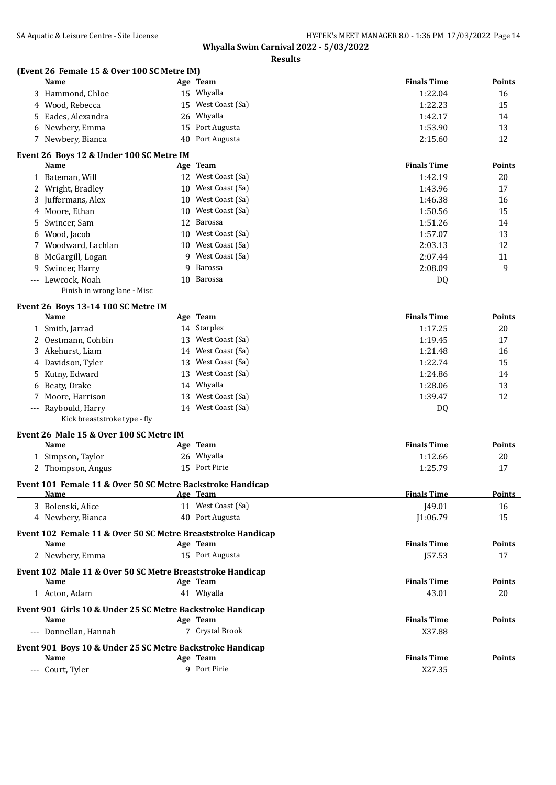**Results**

# **(Event 26 Female 15 & Over 100 SC Metre IM)**

| <b>Name</b>        | Age Team           | <b>Finals Time</b> | <b>Points</b> |
|--------------------|--------------------|--------------------|---------------|
| Hammond, Chloe     | 15 Whyalla         | 1:22.04            | 16            |
| 4 Wood, Rebecca    | 15 West Coast (Sa) | 1:22.23            | 15            |
| 5 Eades, Alexandra | 26 Whyalla         | 1:42.17            | 14            |
| 6 Newbery, Emma    | 15 Port Augusta    | 1:53.90            | 13            |
| Newbery, Bianca    | 40 Port Augusta    | 2:15.60            | 12            |

#### **Event 26 Boys 12 & Under 100 SC Metre IM**

| Name                        |   | Age Team           | <b>Finals Time</b> | Points |
|-----------------------------|---|--------------------|--------------------|--------|
| 1 Bateman, Will             |   | 12 West Coast (Sa) | 1:42.19            | 20     |
| 2 Wright, Bradley           |   | 10 West Coast (Sa) | 1:43.96            | 17     |
| 3 Juffermans, Alex          |   | 10 West Coast (Sa) | 1:46.38            | 16     |
| 4 Moore, Ethan              |   | 10 West Coast (Sa) | 1:50.56            | 15     |
| 5 Swincer, Sam              |   | 12 Barossa         | 1:51.26            | 14     |
| 6 Wood, Jacob               |   | 10 West Coast (Sa) | 1:57.07            | 13     |
| 7 Woodward, Lachlan         |   | 10 West Coast (Sa) | 2:03.13            | 12     |
| 8 McGargill, Logan          | 9 | West Coast (Sa)    | 2:07.44            | 11     |
| 9 Swincer, Harry            | 9 | Barossa            | 2:08.09            | 9      |
| --- Lewcock, Noah           |   | 10 Barossa         | DQ                 |        |
| Finish in wrong lane - Misc |   |                    |                    |        |

## **Event 26 Boys 13-14 100 SC Metre IM**

| Name                         |    | Age Team           | <b>Finals Time</b> | <b>Points</b> |
|------------------------------|----|--------------------|--------------------|---------------|
| 1 Smith, Jarrad              |    | 14 Starplex        | 1:17.25            | 20            |
| 2 Oestmann, Cohbin           | 13 | West Coast (Sa)    | 1:19.45            | 17            |
| 3 Akehurst, Liam             |    | 14 West Coast (Sa) | 1:21.48            | 16            |
| 4 Davidson, Tyler            | 13 | West Coast (Sa)    | 1:22.74            | 15            |
| 5 Kutny, Edward              | 13 | West Coast (Sa)    | 1:24.86            | 14            |
| 6 Beaty, Drake               | 14 | Whyalla            | 1:28.06            | 13            |
| 7 Moore, Harrison            | 13 | West Coast (Sa)    | 1:39.47            | 12            |
| --- Raybould, Harry          |    | 14 West Coast (Sa) | DQ                 |               |
| Kick breaststroke type - fly |    |                    |                    |               |

#### **Event 26 Male 15 & Over 100 SC Metre IM**

| Name                                                         | Age Team                                                     | <b>Finals Time</b> | Points        |
|--------------------------------------------------------------|--------------------------------------------------------------|--------------------|---------------|
| 1 Simpson, Taylor                                            | 26 Whyalla                                                   | 1:12.66            | 20            |
| 2 Thompson, Angus                                            | 15 Port Pirie                                                | 1:25.79            | 17            |
| Event 101 Female 11 & Over 50 SC Metre Backstroke Handicap   |                                                              |                    |               |
| Name                                                         | Age Team                                                     | <b>Finals Time</b> | Points        |
| 3 Bolenski, Alice                                            | 11 West Coast (Sa)                                           | 149.01             | 16            |
| 4 Newbery, Bianca                                            | Port Augusta<br>40                                           | 1:06.79            | 15            |
|                                                              | Event 102 Female 11 & Over 50 SC Metre Breaststroke Handicap |                    |               |
| <b>Name</b>                                                  | Age Team                                                     | <b>Finals Time</b> | <b>Points</b> |
| 2 Newbery, Emma                                              | 15 Port Augusta                                              | 157.53             | 17            |
| Event 102 Male 11 & Over 50 SC Metre Breaststroke Handicap   |                                                              |                    |               |
| Name                                                         | Age Team                                                     | <b>Finals Time</b> | Points        |
| 1 Acton, Adam                                                | 41 Whyalla                                                   | 43.01              | 20            |
| Event 901 Girls 10 & Under 25 SC Metre Backstroke Handicap   |                                                              |                    |               |
| Name                                                         | Age Team                                                     | <b>Finals Time</b> | <b>Points</b> |
| --- Donnellan, Hannah                                        | 7 Crystal Brook                                              | X37.88             |               |
| Evant 001, Dave 10, & Under 25 CC Metro Backetrolio Handican |                                                              |                    |               |

#### **Event 901 Boys 10 & Under 25 SC Metre Backstroke Handicap**

| Name                    | Team<br>Age | Time<br>. .<br>Points |
|-------------------------|-------------|-----------------------|
| Tyler<br>Court<br>$---$ | Port Pirie  | 37272<br>77. I JA     |